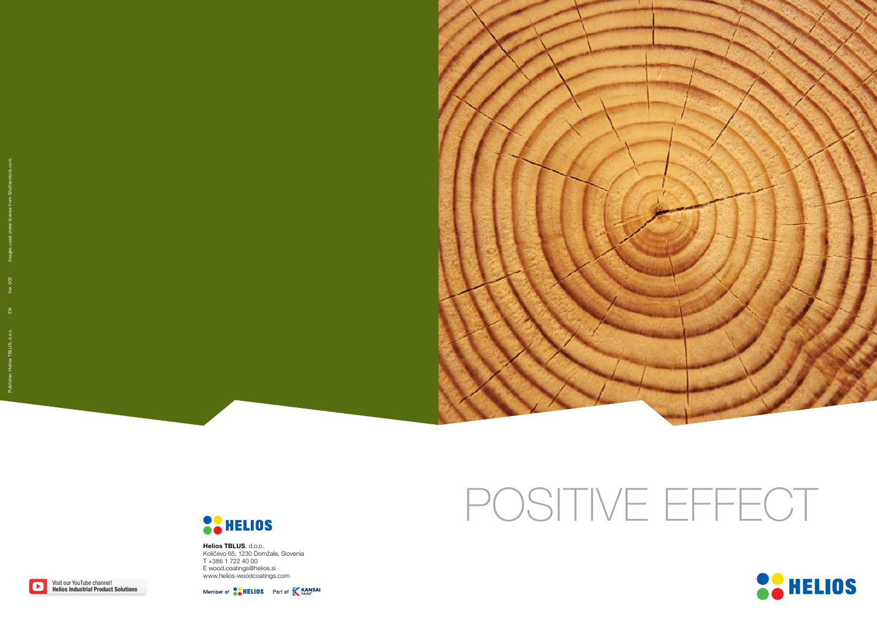

## **OCHELIOS**

## POSITIVE EFFECT



Helios TBLUS, d.o.o. Količevo 65, 1230 Domžale, Slovenia T +386 1 722 40 00 E wood.coatings@helios.si www.helios-woodcoatings.com

Member of **CALLICS** Part of **KANSAI** 

Visit our YouTube channel! Helios Industrial Product Solutions